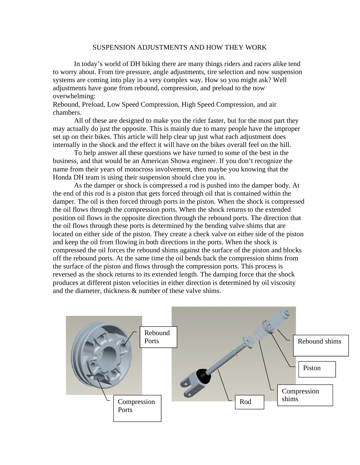## SUSPENSION ADJUSTMENTS AND HOW THEY WORK

 In today's world of DH biking there are many things riders and racers alike tend to worry about. From tire pressure, angle adjustments, tire selection and now suspension systems are coming into play in a very complex way. How so you might ask? Well adjustments have gone from rebound, compression, and preload to the now overwhelming:

Rebound, Preload, Low Speed Compression, High Speed Compression, and air chambers.

 All of these are designed to make you the rider faster, but for the most part they may actually do just the opposite. This is mainly due to many people have the improper set up on their bikes. This article will help clear up just what each adjustment does internally in the shock and the effect it will have on the bikes overall feel on the hill.

 To help answer all these questions we have turned to some of the best in the business, and that would be an American Showa engineer. If you don't recognize the name from their years of motocross involvement, then maybe you knowing that the Honda DH team is using their suspension should clue you in.

As the damper or shock is compressed a rod is pushed into the damper body. At the end of this rod is a piston that gets forced through oil that is contained within the damper. The oil is then forced through ports in the piston. When the shock is compressed the oil flows through the compression ports. When the shock returns to the extended position oil flows in the opposite direction through the rebound ports. The direction that the oil flows through these ports is determined by the bending valve shims that are located on either side of the piston. They create a check valve on either side of the piston and keep the oil from flowing in both directions in the ports. When the shock is compressed the oil forces the rebound shims against the surface of the piston and blocks off the rebound ports. At the same time the oil bends back the compression shims from the surface of the piston and flows through the compression ports. This process is reversed as the shock returns to its extended length. The damping force that the shock produces at different piston velocities in either direction is determined by oil viscosity and the diameter, thickness & number of these valve shims.

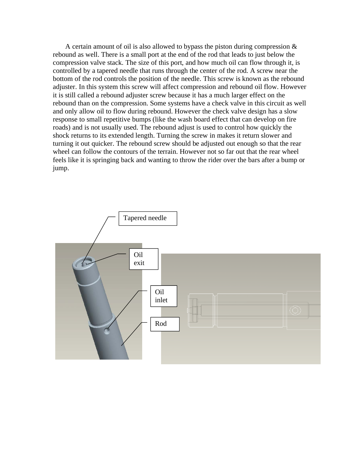A certain amount of oil is also allowed to bypass the piston during compression & rebound as well. There is a small port at the end of the rod that leads to just below the compression valve stack. The size of this port, and how much oil can flow through it, is controlled by a tapered needle that runs through the center of the rod. A screw near the bottom of the rod controls the position of the needle. This screw is known as the rebound adjuster. In this system this screw will affect compression and rebound oil flow. However it is still called a rebound adjuster screw because it has a much larger effect on the rebound than on the compression. Some systems have a check valve in this circuit as well and only allow oil to flow during rebound. However the check valve design has a slow response to small repetitive bumps (like the wash board effect that can develop on fire roads) and is not usually used. The rebound adjust is used to control how quickly the shock returns to its extended length. Turning the screw in makes it return slower and turning it out quicker. The rebound screw should be adjusted out enough so that the rear wheel can follow the contours of the terrain. However not so far out that the rear wheel feels like it is springing back and wanting to throw the rider over the bars after a bump or jump.

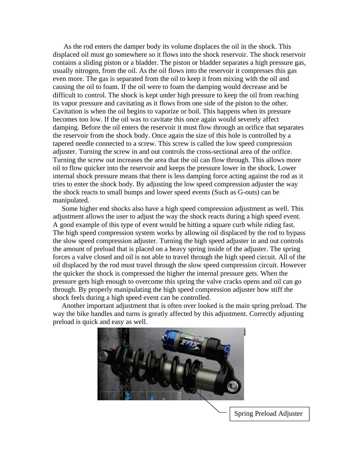As the rod enters the damper body its volume displaces the oil in the shock. This displaced oil must go somewhere so it flows into the shock reservoir. The shock reservoir contains a sliding piston or a bladder. The piston or bladder separates a high pressure gas, usually nitrogen, from the oil. As the oil flows into the reservoir it compresses this gas even more. The gas is separated from the oil to keep it from mixing with the oil and causing the oil to foam. If the oil were to foam the damping would decrease and be difficult to control. The shock is kept under high pressure to keep the oil from reaching its vapor pressure and cavitating as it flows from one side of the piston to the other. Cavitation is when the oil begins to vaporize or boil. This happens when its pressure becomes too low. If the oil was to cavitate this once again would severely affect damping. Before the oil enters the reservoir it must flow through an orifice that separates the reservoir from the shock body. Once again the size of this hole is controlled by a tapered needle connected to a screw. This screw is called the low speed compression adjuster. Turning the screw in and out controls the cross-sectional area of the orifice. Turning the screw out increases the area that the oil can flow through. This allows more oil to flow quicker into the reservoir and keeps the pressure lower in the shock. Lower internal shock pressure means that there is less damping force acting against the rod as it tries to enter the shock body. By adjusting the low speed compression adjuster the way the shock reacts to small bumps and lower speed events (Such as G-outs) can be manipulated.

 Some higher end shocks also have a high speed compression adjustment as well. This adjustment allows the user to adjust the way the shock reacts during a high speed event. A good example of this type of event would be hitting a square curb while riding fast. The high speed compression system works by allowing oil displaced by the rod to bypass the slow speed compression adjuster. Turning the high speed adjuster in and out controls the amount of preload that is placed on a heavy spring inside of the adjuster. The spring forces a valve closed and oil is not able to travel through the high speed circuit. All of the oil displaced by the rod must travel through the slow speed compression circuit. However the quicker the shock is compressed the higher the internal pressure gets. When the pressure gets high enough to overcome this spring the valve cracks opens and oil can go through. By properly manipulating the high speed compression adjuster how stiff the shock feels during a high speed event can be controlled.

 Another important adjustment that is often over looked is the main spring preload. The way the bike handles and turns is greatly affected by this adjustment. Correctly adjusting preload is quick and easy as well.



Spring Preload Adjuster